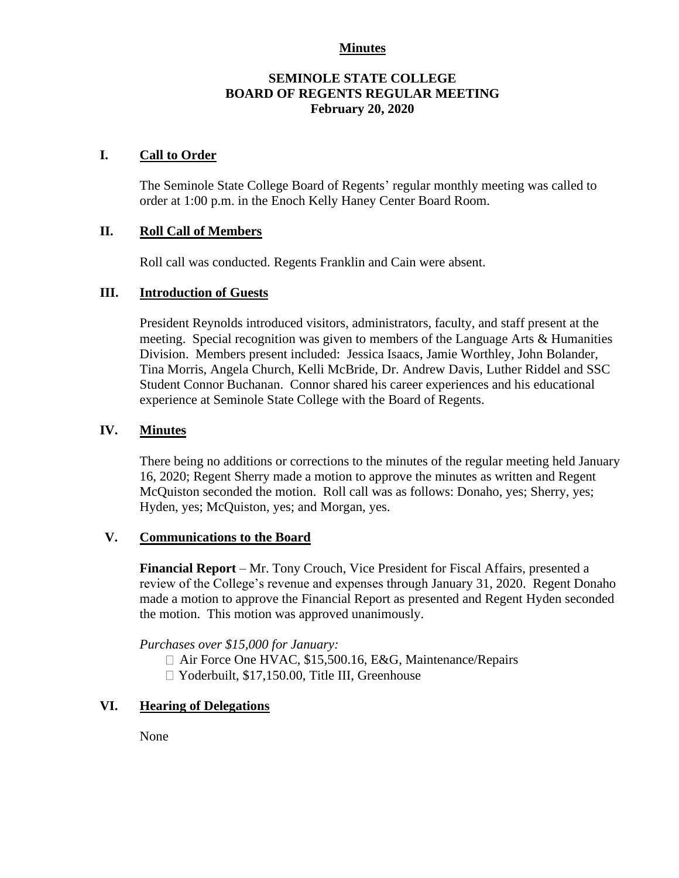### **Minutes**

# **SEMINOLE STATE COLLEGE BOARD OF REGENTS REGULAR MEETING February 20, 2020**

## **I. Call to Order**

The Seminole State College Board of Regents' regular monthly meeting was called to order at 1:00 p.m. in the Enoch Kelly Haney Center Board Room.

## **II. Roll Call of Members**

Roll call was conducted. Regents Franklin and Cain were absent.

#### **III. Introduction of Guests**

President Reynolds introduced visitors, administrators, faculty, and staff present at the meeting. Special recognition was given to members of the Language Arts & Humanities Division. Members present included: Jessica Isaacs, Jamie Worthley, John Bolander, Tina Morris, Angela Church, Kelli McBride, Dr. Andrew Davis, Luther Riddel and SSC Student Connor Buchanan. Connor shared his career experiences and his educational experience at Seminole State College with the Board of Regents.

#### **IV. Minutes**

There being no additions or corrections to the minutes of the regular meeting held January 16, 2020; Regent Sherry made a motion to approve the minutes as written and Regent McQuiston seconded the motion. Roll call was as follows: Donaho, yes; Sherry, yes; Hyden, yes; McQuiston, yes; and Morgan, yes.

#### **V. Communications to the Board**

**Financial Report** – Mr. Tony Crouch, Vice President for Fiscal Affairs, presented a review of the College's revenue and expenses through January 31, 2020. Regent Donaho made a motion to approve the Financial Report as presented and Regent Hyden seconded the motion. This motion was approved unanimously.

*Purchases over \$15,000 for January:*

□ Air Force One HVAC, \$15,500.16, E&G, Maintenance/Repairs □ Yoderbuilt, \$17,150.00, Title III, Greenhouse

### **VI. Hearing of Delegations**

None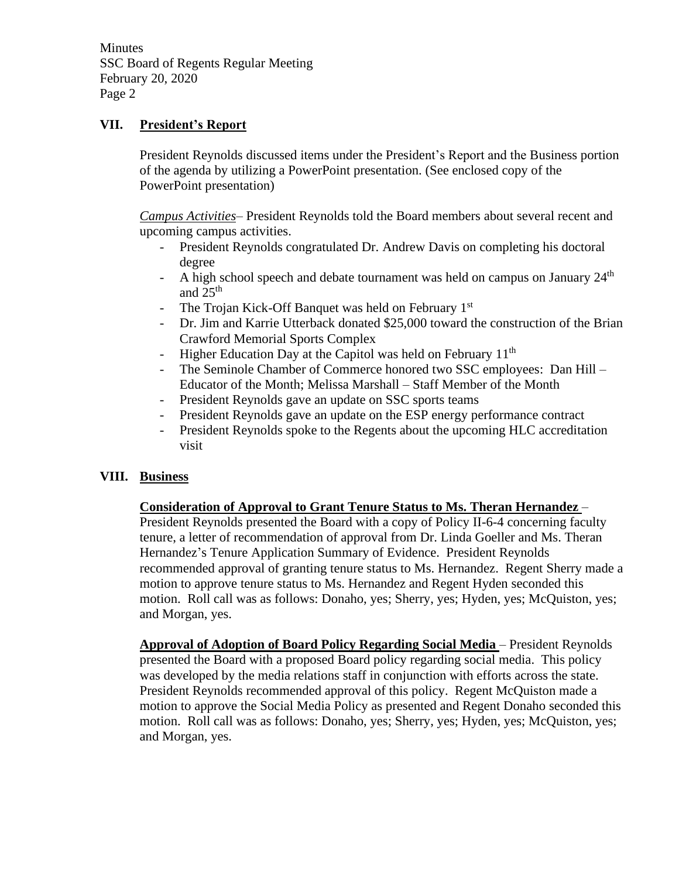Minutes SSC Board of Regents Regular Meeting February 20, 2020 Page 2

# **VII. President's Report**

President Reynolds discussed items under the President's Report and the Business portion of the agenda by utilizing a PowerPoint presentation. (See enclosed copy of the PowerPoint presentation)

*Campus Activities*– President Reynolds told the Board members about several recent and upcoming campus activities.

- President Reynolds congratulated Dr. Andrew Davis on completing his doctoral degree
- A high school speech and debate tournament was held on campus on January  $24<sup>th</sup>$ and 25th
- The Trojan Kick-Off Banquet was held on February 1<sup>st</sup>
- Dr. Jim and Karrie Utterback donated \$25,000 toward the construction of the Brian Crawford Memorial Sports Complex
- Higher Education Day at the Capitol was held on February 11<sup>th</sup> The Seminole Chamber of Commerce honored two SSC employ
- The Seminole Chamber of Commerce honored two SSC employees: Dan Hill Educator of the Month; Melissa Marshall – Staff Member of the Month
- President Reynolds gave an update on SSC sports teams
- President Reynolds gave an update on the ESP energy performance contract
- President Reynolds spoke to the Regents about the upcoming HLC accreditation visit

# **VIII. Business**

# **Consideration of Approval to Grant Tenure Status to Ms. Theran Hernandez** –

President Reynolds presented the Board with a copy of Policy II-6-4 concerning faculty tenure, a letter of recommendation of approval from Dr. Linda Goeller and Ms. Theran Hernandez's Tenure Application Summary of Evidence. President Reynolds recommended approval of granting tenure status to Ms. Hernandez. Regent Sherry made a motion to approve tenure status to Ms. Hernandez and Regent Hyden seconded this motion. Roll call was as follows: Donaho, yes; Sherry, yes; Hyden, yes; McQuiston, yes; and Morgan, yes.

**Approval of Adoption of Board Policy Regarding Social Media** – President Reynolds presented the Board with a proposed Board policy regarding social media. This policy was developed by the media relations staff in conjunction with efforts across the state. President Reynolds recommended approval of this policy. Regent McQuiston made a motion to approve the Social Media Policy as presented and Regent Donaho seconded this motion. Roll call was as follows: Donaho, yes; Sherry, yes; Hyden, yes; McQuiston, yes; and Morgan, yes.